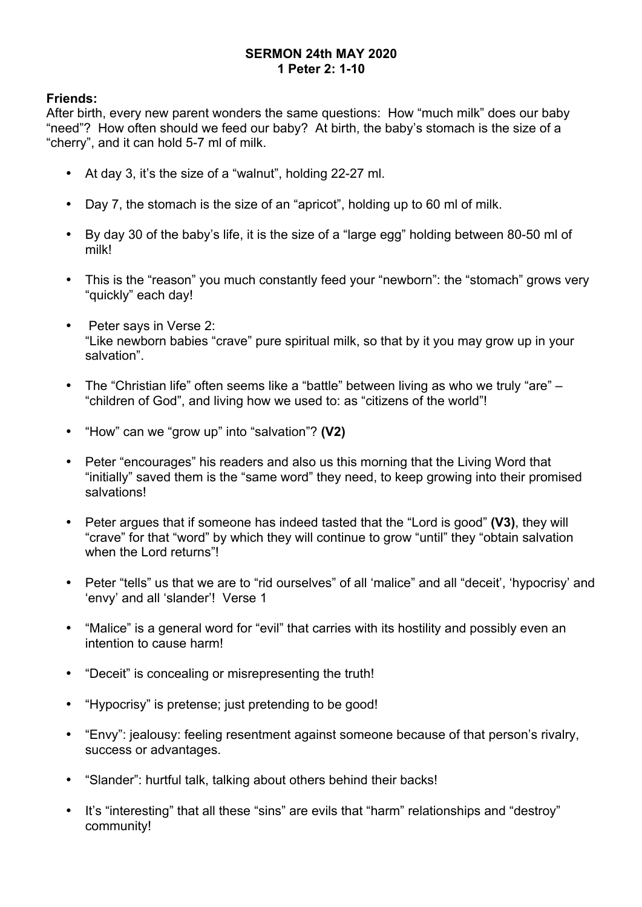### **SERMON 24th MAY 2020 1 Peter 2: 1-10**

## **Friends:**

After birth, every new parent wonders the same questions: How "much milk" does our baby "need"? How often should we feed our baby? At birth, the baby's stomach is the size of a "cherry", and it can hold 5-7 ml of milk.

- At day 3, it's the size of a "walnut", holding 22-27 ml.
- Day 7, the stomach is the size of an "apricot", holding up to 60 ml of milk.
- By day 30 of the baby's life, it is the size of a "large egg" holding between 80-50 ml of milk!
- This is the "reason" you much constantly feed your "newborn": the "stomach" grows very "quickly" each day!
- Peter says in Verse 2: "Like newborn babies "crave" pure spiritual milk, so that by it you may grow up in your salvation".
- The "Christian life" often seems like a "battle" between living as who we truly "are" "children of God", and living how we used to: as "citizens of the world"!
- "How" can we "grow up" into "salvation"? **(V2)**
- Peter "encourages" his readers and also us this morning that the Living Word that "initially" saved them is the "same word" they need, to keep growing into their promised salvations!
- Peter argues that if someone has indeed tasted that the "Lord is good" **(V3)**, they will "crave" for that "word" by which they will continue to grow "until" they "obtain salvation when the Lord returns"
- Peter "tells" us that we are to "rid ourselves" of all 'malice" and all "deceit', 'hypocrisy' and 'envy' and all 'slander'! Verse 1
- "Malice" is a general word for "evil" that carries with its hostility and possibly even an intention to cause harm!
- "Deceit" is concealing or misrepresenting the truth!
- "Hypocrisy" is pretense; just pretending to be good!
- "Envy": jealousy: feeling resentment against someone because of that person's rivalry, success or advantages.
- "Slander": hurtful talk, talking about others behind their backs!
- It's "interesting" that all these "sins" are evils that "harm" relationships and "destroy" community!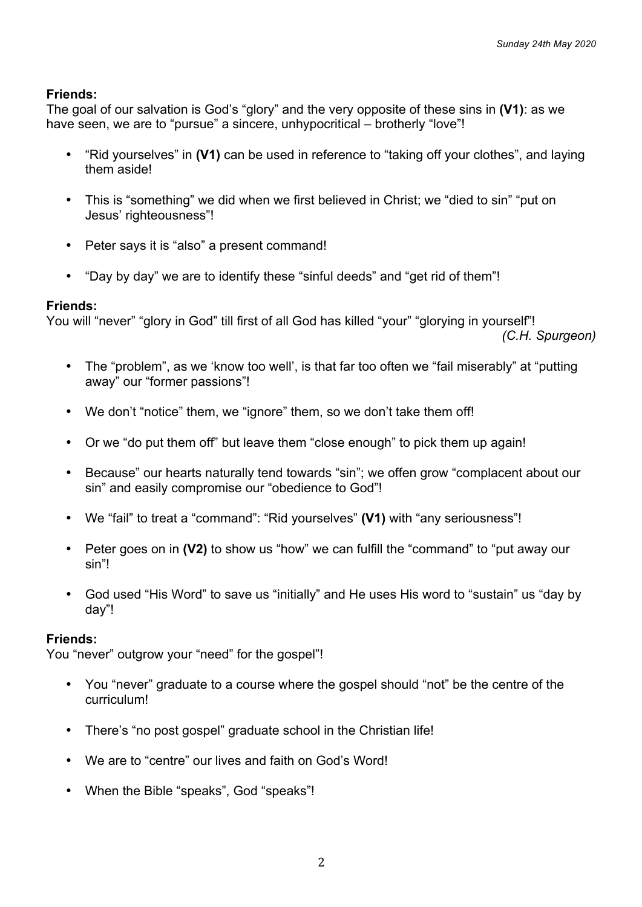The goal of our salvation is God's "glory" and the very opposite of these sins in **(V1)**: as we have seen, we are to "pursue" a sincere, unhypocritical – brotherly "love"!

- "Rid yourselves" in **(V1)** can be used in reference to "taking off your clothes", and laying them aside!
- This is "something" we did when we first believed in Christ; we "died to sin" "put on Jesus' righteousness"!
- Peter says it is "also" a present command!
- "Day by day" we are to identify these "sinful deeds" and "get rid of them"!

## **Friends:**

You will "never" "glory in God" till first of all God has killed "your" "glorying in yourself"!

*(C.H. Spurgeon)*

- The "problem", as we 'know too well', is that far too often we "fail miserably" at "putting away" our "former passions"!
- We don't "notice" them, we "ignore" them, so we don't take them off!
- Or we "do put them off" but leave them "close enough" to pick them up again!
- Because" our hearts naturally tend towards "sin"; we offen grow "complacent about our sin" and easily compromise our "obedience to God"!
- We "fail" to treat a "command": "Rid yourselves" **(V1)** with "any seriousness"!
- Peter goes on in **(V2)** to show us "how" we can fulfill the "command" to "put away our sin"!
- God used "His Word" to save us "initially" and He uses His word to "sustain" us "day by day"!

## **Friends:**

You "never" outgrow your "need" for the gospel"!

- You "never" graduate to a course where the gospel should "not" be the centre of the curriculum!
- There's "no post gospel" graduate school in the Christian life!
- We are to "centre" our lives and faith on God's Word!
- When the Bible "speaks", God "speaks"!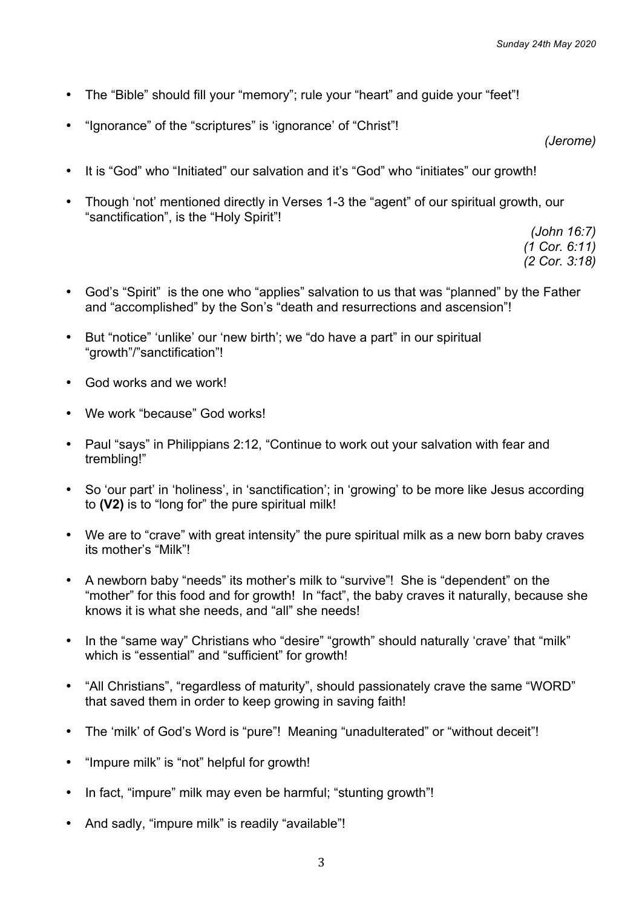- The "Bible" should fill your "memory"; rule your "heart" and guide your "feet"!
- "Ignorance" of the "scriptures" is 'ignorance' of "Christ"!

*(Jerome)*

- It is "God" who "Initiated" our salvation and it's "God" who "initiates" our growth!
- Though 'not' mentioned directly in Verses 1-3 the "agent" of our spiritual growth, our "sanctification", is the "Holy Spirit"!

*(John 16:7) (1 Cor. 6:11) (2 Cor. 3:18)*

- God's "Spirit" is the one who "applies" salvation to us that was "planned" by the Father and "accomplished" by the Son's "death and resurrections and ascension"!
- But "notice" 'unlike' our 'new birth'; we "do have a part" in our spiritual "growth"/"sanctification"!
- God works and we work!
- We work "because" God works!
- Paul "says" in Philippians 2:12, "Continue to work out your salvation with fear and trembling!"
- So 'our part' in 'holiness', in 'sanctification'; in 'growing' to be more like Jesus according to **(V2)** is to "long for" the pure spiritual milk!
- We are to "crave" with great intensity" the pure spiritual milk as a new born baby craves its mother's "Milk"!
- A newborn baby "needs" its mother's milk to "survive"! She is "dependent" on the "mother" for this food and for growth! In "fact", the baby craves it naturally, because she knows it is what she needs, and "all" she needs!
- In the "same way" Christians who "desire" "growth" should naturally 'crave' that "milk" which is "essential" and "sufficient" for growth!
- "All Christians", "regardless of maturity", should passionately crave the same "WORD" that saved them in order to keep growing in saving faith!
- The 'milk' of God's Word is "pure"! Meaning "unadulterated" or "without deceit"!
- "Impure milk" is "not" helpful for growth!
- In fact, "impure" milk may even be harmful; "stunting growth"!
- And sadly, "impure milk" is readily "available"!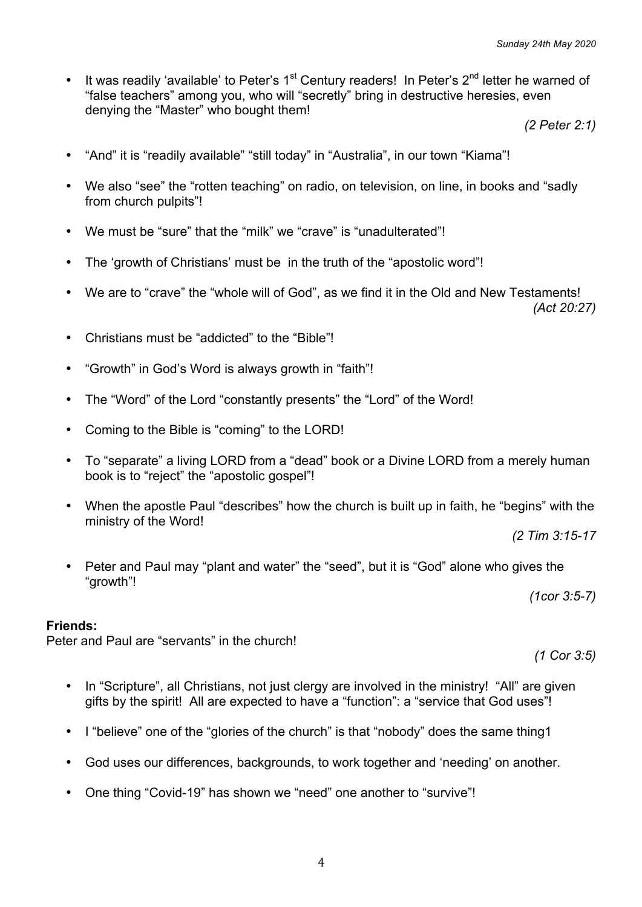• It was readily 'available' to Peter's  $1<sup>st</sup>$  Century readers! In Peter's  $2<sup>nd</sup>$  letter he warned of "false teachers" among you, who will "secretly" bring in destructive heresies, even denying the "Master" who bought them!

*(2 Peter 2:1)*

- "And" it is "readily available" "still today" in "Australia", in our town "Kiama"!
- We also "see" the "rotten teaching" on radio, on television, on line, in books and "sadly from church pulpits"!
- We must be "sure" that the "milk" we "crave" is "unadulterated"!
- The 'growth of Christians' must be in the truth of the "apostolic word"!
- We are to "crave" the "whole will of God", as we find it in the Old and New Testaments!

*(Act 20:27)*

- Christians must be "addicted" to the "Bible"!
- "Growth" in God's Word is always growth in "faith"!
- The "Word" of the Lord "constantly presents" the "Lord" of the Word!
- Coming to the Bible is "coming" to the LORD!
- To "separate" a living LORD from a "dead" book or a Divine LORD from a merely human book is to "reject" the "apostolic gospel"!
- When the apostle Paul "describes" how the church is built up in faith, he "begins" with the ministry of the Word!

*(2 Tim 3:15-17*

• Peter and Paul may "plant and water" the "seed", but it is "God" alone who gives the "growth"!

*(1cor 3:5-7)*

### **Friends:**

Peter and Paul are "servants" in the church!

*(1 Cor 3:5)*

- In "Scripture", all Christians, not just clergy are involved in the ministry! "All" are given gifts by the spirit! All are expected to have a "function": a "service that God uses"!
- I "believe" one of the "glories of the church" is that "nobody" does the same thing 1
- God uses our differences, backgrounds, to work together and 'needing' on another.
- One thing "Covid-19" has shown we "need" one another to "survive"!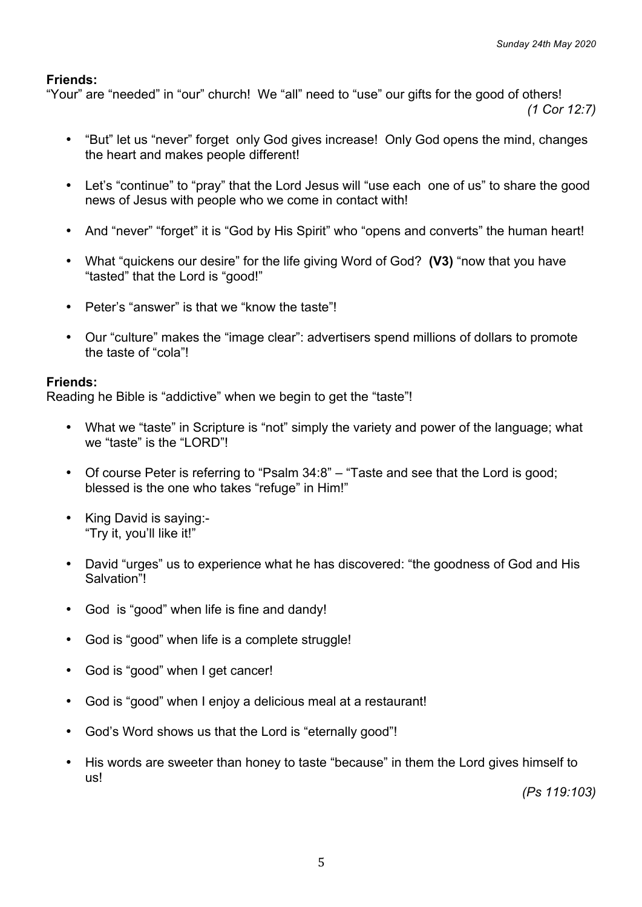"Your" are "needed" in "our" church! We "all" need to "use" our gifts for the good of others!

*(1 Cor 12:7)*

- "But" let us "never" forget only God gives increase! Only God opens the mind, changes the heart and makes people different!
- Let's "continue" to "pray" that the Lord Jesus will "use each one of us" to share the good news of Jesus with people who we come in contact with!
- And "never" "forget" it is "God by His Spirit" who "opens and converts" the human heart!
- What "quickens our desire" for the life giving Word of God? **(V3)** "now that you have "tasted" that the Lord is "good!"
- Peter's "answer" is that we "know the taste"!
- Our "culture" makes the "image clear": advertisers spend millions of dollars to promote the taste of "cola"!

#### **Friends:**

Reading he Bible is "addictive" when we begin to get the "taste"!

- What we "taste" in Scripture is "not" simply the variety and power of the language; what we "taste" is the "LORD"!
- Of course Peter is referring to "Psalm 34:8" "Taste and see that the Lord is good; blessed is the one who takes "refuge" in Him!"
- King David is saying:- "Try it, you'll like it!"
- David "urges" us to experience what he has discovered: "the goodness of God and His Salvation"!
- God is "good" when life is fine and dandy!
- God is "good" when life is a complete struggle!
- God is "good" when I get cancer!
- God is "good" when I enjoy a delicious meal at a restaurant!
- God's Word shows us that the Lord is "eternally good"!
- His words are sweeter than honey to taste "because" in them the Lord gives himself to us!

*(Ps 119:103)*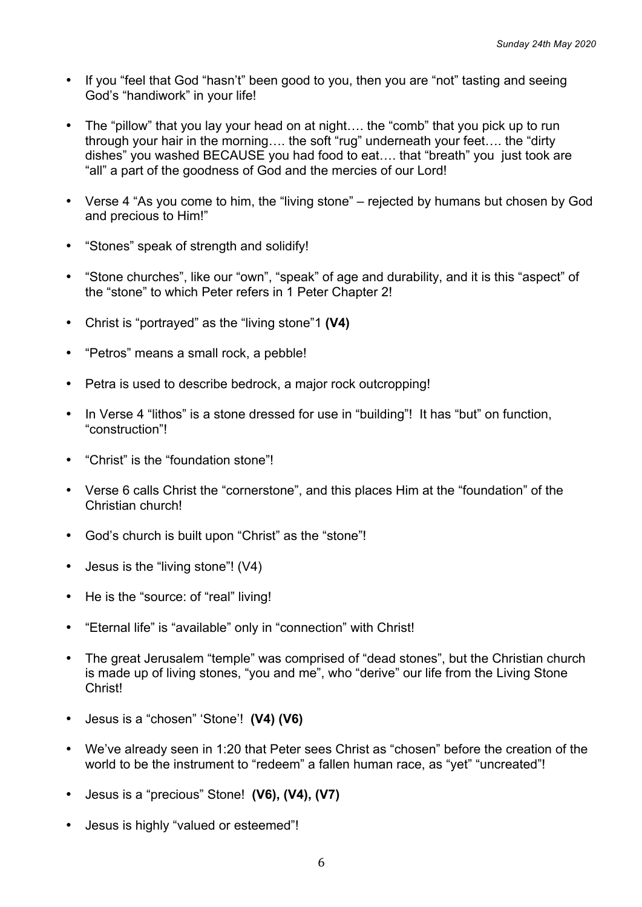- If you "feel that God "hasn't" been good to you, then you are "not" tasting and seeing God's "handiwork" in your life!
- The "pillow" that you lay your head on at night…. the "comb" that you pick up to run through your hair in the morning…. the soft "rug" underneath your feet…. the "dirty dishes" you washed BECAUSE you had food to eat…. that "breath" you just took are "all" a part of the goodness of God and the mercies of our Lord!
- Verse 4 "As you come to him, the "living stone" rejected by humans but chosen by God and precious to Him!"
- "Stones" speak of strength and solidify!
- "Stone churches", like our "own", "speak" of age and durability, and it is this "aspect" of the "stone" to which Peter refers in 1 Peter Chapter 2!
- Christ is "portrayed" as the "living stone"1 **(V4)**
- "Petros" means a small rock, a pebble!
- Petra is used to describe bedrock, a major rock outcropping!
- In Verse 4 "lithos" is a stone dressed for use in "building"! It has "but" on function, "construction"!
- "Christ" is the "foundation stone"!
- Verse 6 calls Christ the "cornerstone", and this places Him at the "foundation" of the Christian church!
- God's church is built upon "Christ" as the "stone"!
- Jesus is the "living stone"! (V4)
- He is the "source: of "real" living!
- "Eternal life" is "available" only in "connection" with Christ!
- The great Jerusalem "temple" was comprised of "dead stones", but the Christian church is made up of living stones, "you and me", who "derive" our life from the Living Stone Christ!
- Jesus is a "chosen" 'Stone'! **(V4) (V6)**
- We've already seen in 1:20 that Peter sees Christ as "chosen" before the creation of the world to be the instrument to "redeem" a fallen human race, as "yet" "uncreated"!
- Jesus is a "precious" Stone! **(V6), (V4), (V7)**
- Jesus is highly "valued or esteemed"!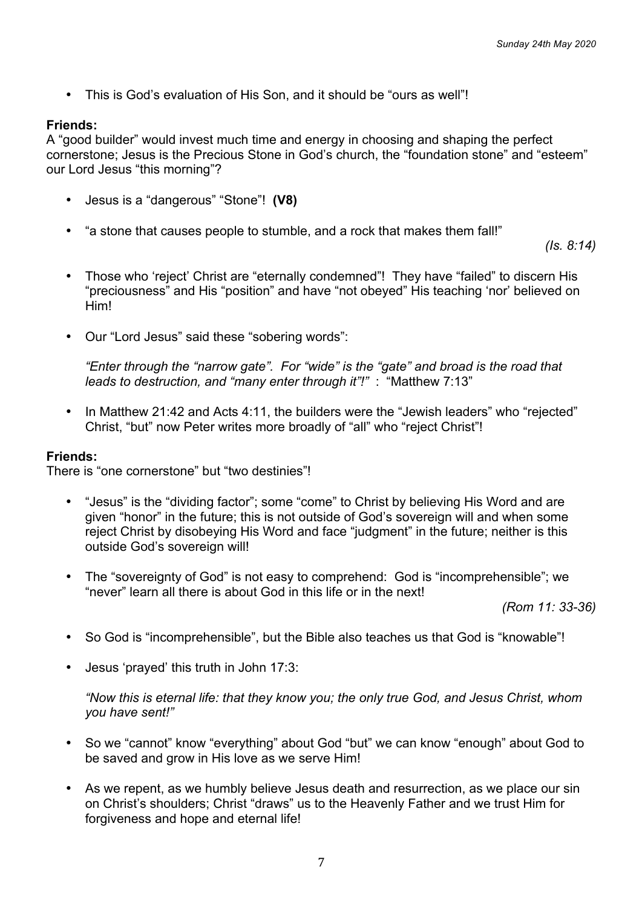• This is God's evaluation of His Son, and it should be "ours as well"!

## **Friends:**

A "good builder" would invest much time and energy in choosing and shaping the perfect cornerstone; Jesus is the Precious Stone in God's church, the "foundation stone" and "esteem" our Lord Jesus "this morning"?

- Jesus is a "dangerous" "Stone"! **(V8)**
- "a stone that causes people to stumble, and a rock that makes them fall!"

*(Is. 8:14)*

- Those who 'reject' Christ are "eternally condemned"! They have "failed" to discern His "preciousness" and His "position" and have "not obeyed" His teaching 'nor' believed on Him!
- Our "Lord Jesus" said these "sobering words":

*"Enter through the "narrow gate". For "wide" is the "gate" and broad is the road that leads to destruction, and "many enter through it"!"* : "Matthew 7:13"

• In Matthew 21:42 and Acts 4:11, the builders were the "Jewish leaders" who "rejected" Christ, "but" now Peter writes more broadly of "all" who "reject Christ"!

### **Friends:**

There is "one cornerstone" but "two destinies"!

- "Jesus" is the "dividing factor"; some "come" to Christ by believing His Word and are given "honor" in the future; this is not outside of God's sovereign will and when some reject Christ by disobeying His Word and face "judgment" in the future; neither is this outside God's sovereign will!
- The "sovereignty of God" is not easy to comprehend: God is "incomprehensible"; we "never" learn all there is about God in this life or in the next!

*(Rom 11: 33-36)*

- So God is "incomprehensible", but the Bible also teaches us that God is "knowable"!
- Jesus 'prayed' this truth in John 17:3:

*"Now this is eternal life: that they know you; the only true God, and Jesus Christ, whom you have sent!"*

- So we "cannot" know "everything" about God "but" we can know "enough" about God to be saved and grow in His love as we serve Him!
- As we repent, as we humbly believe Jesus death and resurrection, as we place our sin on Christ's shoulders; Christ "draws" us to the Heavenly Father and we trust Him for forgiveness and hope and eternal life!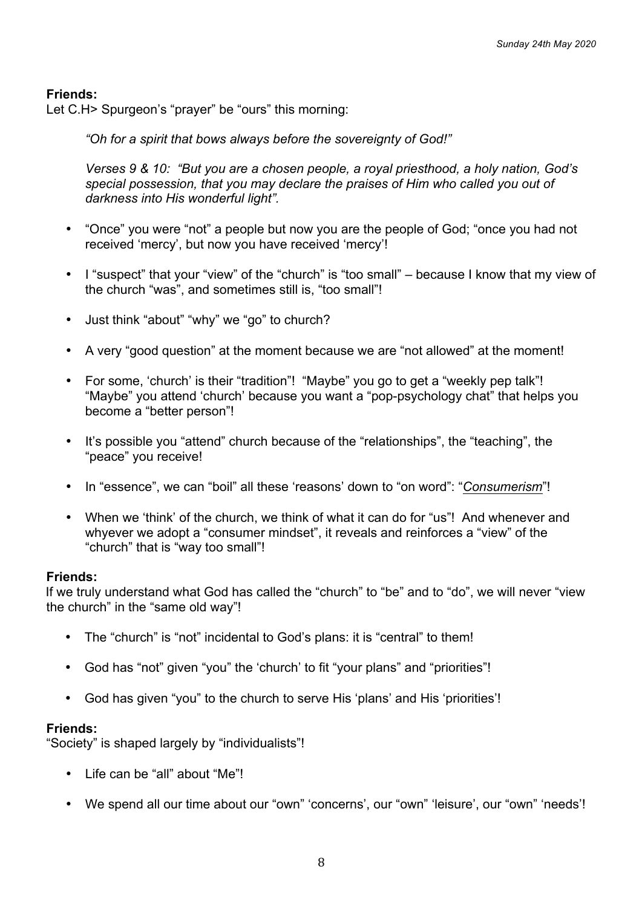Let C.H> Spurgeon's "prayer" be "ours" this morning:

*"Oh for a spirit that bows always before the sovereignty of God!"*

*Verses 9 & 10: "But you are a chosen people, a royal priesthood, a holy nation, God's special possession, that you may declare the praises of Him who called you out of darkness into His wonderful light".*

- "Once" you were "not" a people but now you are the people of God; "once you had not received 'mercy', but now you have received 'mercy'!
- I "suspect" that your "view" of the "church" is "too small" because I know that my view of the church "was", and sometimes still is, "too small"!
- Just think "about" "why" we "go" to church?
- A very "good question" at the moment because we are "not allowed" at the moment!
- For some, 'church' is their "tradition"! "Maybe" you go to get a "weekly pep talk"! "Maybe" you attend 'church' because you want a "pop-psychology chat" that helps you become a "better person"!
- It's possible you "attend" church because of the "relationships", the "teaching", the "peace" you receive!
- In "essence", we can "boil" all these 'reasons' down to "on word": "*Consumerism*"!
- When we 'think' of the church, we think of what it can do for "us"! And whenever and whyever we adopt a "consumer mindset", it reveals and reinforces a "view" of the "church" that is "way too small"!

### **Friends:**

If we truly understand what God has called the "church" to "be" and to "do", we will never "view the church" in the "same old way"!

- The "church" is "not" incidental to God's plans: it is "central" to them!
- God has "not" given "you" the 'church' to fit "your plans" and "priorities"!
- God has given "you" to the church to serve His 'plans' and His 'priorities'!

### **Friends:**

"Society" is shaped largely by "individualists"!

- Life can be "all" about "Me"!
- We spend all our time about our "own" 'concerns', our "own" 'leisure', our "own" 'needs'!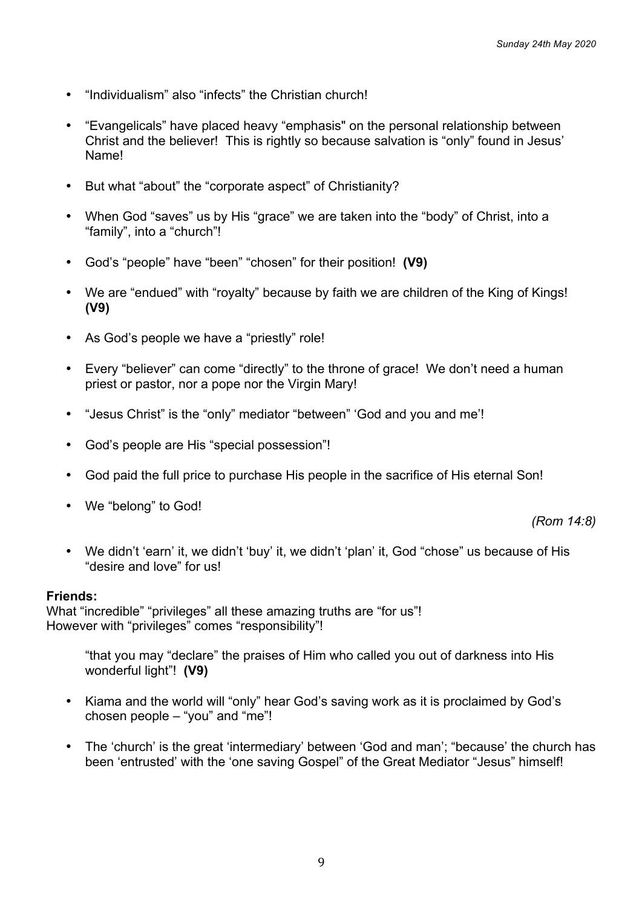- "Individualism" also "infects" the Christian church!
- "Evangelicals" have placed heavy "emphasis" on the personal relationship between Christ and the believer! This is rightly so because salvation is "only" found in Jesus' Name!
- But what "about" the "corporate aspect" of Christianity?
- When God "saves" us by His "grace" we are taken into the "body" of Christ, into a "family", into a "church"!
- God's "people" have "been" "chosen" for their position! **(V9)**
- We are "endued" with "royalty" because by faith we are children of the King of Kings! **(V9)**
- As God's people we have a "priestly" role!
- Every "believer" can come "directly" to the throne of grace! We don't need a human priest or pastor, nor a pope nor the Virgin Mary!
- "Jesus Christ" is the "only" mediator "between" 'God and you and me'!
- God's people are His "special possession"!
- God paid the full price to purchase His people in the sacrifice of His eternal Son!
- We "belong" to God!

*(Rom 14:8)*

• We didn't 'earn' it, we didn't 'buy' it, we didn't 'plan' it, God "chose" us because of His "desire and love" for us!

### **Friends:**

What "incredible" "privileges" all these amazing truths are "for us"! However with "privileges" comes "responsibility"!

"that you may "declare" the praises of Him who called you out of darkness into His wonderful light"! **(V9)**

- Kiama and the world will "only" hear God's saving work as it is proclaimed by God's chosen people – "you" and "me"!
- The 'church' is the great 'intermediary' between 'God and man'; "because' the church has been 'entrusted' with the 'one saving Gospel" of the Great Mediator "Jesus" himself!